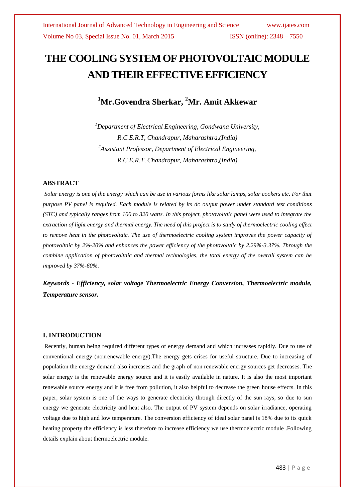# **THE COOLING SYSTEM OF PHOTOVOLTAIC MODULE AND THEIR EFFECTIVE EFFICIENCY**

# **<sup>1</sup>Mr.Govendra Sherkar, <sup>2</sup>Mr. Amit Akkewar**

*<sup>1</sup>Department of Electrical Engineering, Gondwana University, R.C.E.R.T, Chandrapur, Maharashtra,(India) <sup>2</sup>Assistant Professor, Department of Electrical Engineering, R.C.E.R.T, Chandrapur, Maharashtra,(India)*

### **ABSTRACT**

*Solar energy is one of the energy which can be use in various forms like solar lamps, solar cookers etc. For that purpose PV panel is required. Each module is related by its dc output power under standard test conditions (STC) and typically ranges from 100 to 320 watts. In this project, photovoltaic panel were used to integrate the extraction of light energy and thermal energy. The need of this project is to study of thermoelectric cooling effect to remove heat in the photovoltaic. The use of thermoelectric cooling system improves the power capacity of photovoltaic by 2%-20% and enhances the power efficiency of the photovoltaic by 2.29%-3.37%. Through the combine application of photovoltaic and thermal technologies, the total energy of the overall system can be improved by 37%-60%.*

*Keywords* **-** *Efficiency, solar voltage Thermoelectric Energy Conversion, Thermoelectric module, Temperature sensor.*

#### **I. INTRODUCTION**

Recently, human being required different types of energy demand and which increases rapidly. Due to use of conventional energy (nonrenewable energy).The energy gets crises for useful structure. Due to increasing of population the energy demand also increases and the graph of non renewable energy sources get decreases. The solar energy is the renewable energy source and it is easily available in nature. It is also the most important renewable source energy and it is free from pollution, it also helpful to decrease the green house effects. In this paper, solar system is one of the ways to generate electricity through directly of the sun rays, so due to sun energy we generate electricity and heat also. The output of PV system depends on solar irradiance, operating voltage due to high and low temperature. The conversion efficiency of ideal solar panel is 18% due to its quick heating property the efficiency is less therefore to increase efficiency we use thermoelectric module .Following details explain about thermoelectric module.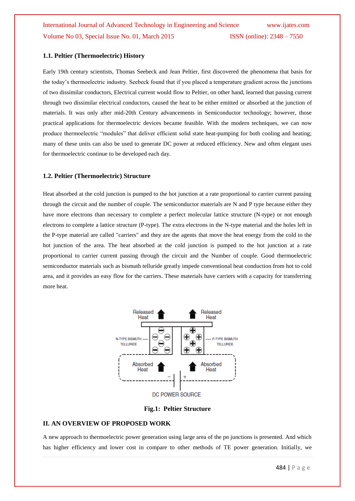#### **1.1. Peltier (Thermoelectric) History**

Early 19th century scientists, Thomas Seebeck and Jean Peltier, first discovered the phenomena that basis for the today's thermoelectric industry. Seebeck found that if you placed a temperature gradient across the junctions of two dissimilar conductors, Electrical current would flow to Peltier, on other hand, learned that passing current through two dissimilar electrical conductors, caused the heat to be either emitted or absorbed at the junction of materials. It was only after mid-20th Century advancements in Semiconductor technology; however, those practical applications for thermoelectric devices became feasible. With the modern techniques, we can now produce thermoelectric "modules" that deliver efficient solid state heat-pumping for both cooling and heating; many of these units can also be used to generate DC power at reduced efficiency. New and often elegant uses for thermoelectric continue to be developed each day.

#### **1.2. Peltier (Thermoelectric) Structure**

Heat absorbed at the cold junction is pumped to the hot junction at a rate proportional to carrier current passing through the circuit and the number of couple. The semiconductor materials are N and P type because either they have more electrons than necessary to complete a perfect molecular lattice structure (N-type) or not enough electrons to complete a lattice structure (P-type). The extra electrons in the N-type material and the holes left in the P-type material are called "carriers" and they are the agents that move the heat energy from the cold to the hot junction of the area. The heat absorbed at the cold junction is pumped to the hot junction at a rate proportional to carrier current passing through the circuit and the Number of couple. Good thermoelectric semiconductor materials such as bismuth telluride greatly impede conventional heat conduction from hot to cold area, and it provides an easy flow for the carriers. These materials have carriers with a capacity for transferring more heat.



#### **Fig.1: Peltier Structure**

#### **II. AN OVERVIEW OF PROPOSED WORK**

A new approach to thermoelectric power generation using large area of the pn junctions is presented. And which has higher efficiency and lower cost in compare to other methods of TE power generation. Initially, we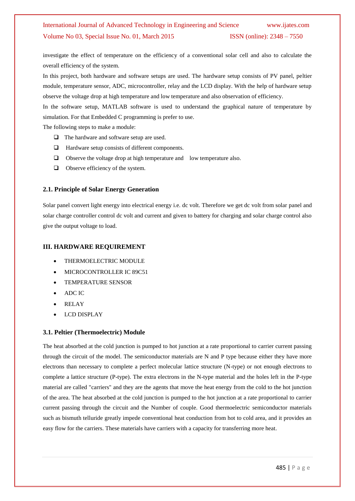investigate the effect of temperature on the efficiency of a conventional solar cell and also to calculate the overall efficiency of the system.

In this project, both hardware and software setups are used. The hardware setup consists of PV panel, peltier module, temperature sensor, ADC, microcontroller, relay and the LCD display. With the help of hardware setup observe the voltage drop at high temperature and low temperature and also observation of efficiency.

In the software setup, MATLAB software is used to understand the graphical nature of temperature by simulation. For that Embedded C programming is prefer to use.

The following steps to make a module:

- □ The hardware and software setup are used.
- $\Box$  Hardware setup consists of different components.
- $\Box$  Observe the voltage drop at high temperature and low temperature also.
- $\Box$  Observe efficiency of the system.

#### **2.1. Principle of Solar Energy Generation**

Solar panel convert light energy into electrical energy i.e. dc volt. Therefore we get dc volt from solar panel and solar charge controller control dc volt and current and given to battery for charging and solar charge control also give the output voltage to load.

#### **III. HARDWARE REQUIREMENT**

- THERMOELECTRIC MODULE
- MICROCONTROLLER IC 89C51
- TEMPERATURE SENSOR
- ADC IC
- RELAY
- LCD DISPLAY

#### **3.1. Peltier (Thermoelectric) Module**

The heat absorbed at the cold junction is pumped to hot junction at a rate proportional to carrier current passing through the circuit of the model. The semiconductor materials are N and P type because either they have more electrons than necessary to complete a perfect molecular lattice structure (N-type) or not enough electrons to complete a lattice structure (P-type). The extra electrons in the N-type material and the holes left in the P-type material are called "carriers" and they are the agents that move the heat energy from the cold to the hot junction of the area. The heat absorbed at the cold junction is pumped to the hot junction at a rate proportional to carrier current passing through the circuit and the Number of couple. Good thermoelectric semiconductor materials such as bismuth telluride greatly impede conventional heat conduction from hot to cold area, and it provides an easy flow for the carriers. These materials have carriers with a capacity for transferring more heat.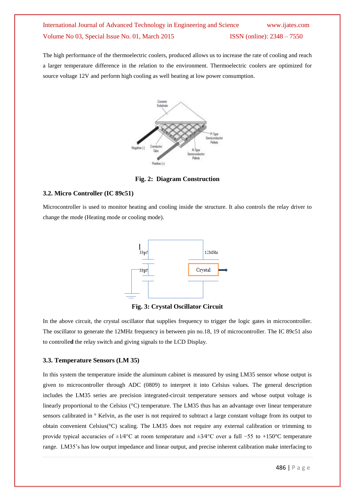The high performance of the thermoelectric coolers, produced allows us to increase the rate of cooling and reach a larger temperature difference in the relation to the environment. Thermoelectric coolers are optimized for source voltage 12V and perform high cooling as well heating at low power consumption.



**Fig. 2: Diagram Construction**

#### **3.2. Micro Controller (IC 89c51)**

Microcontroller is used to monitor heating and cooling inside the structure. It also controls the relay driver to change the mode (Heating mode or cooling mode).



**Fig. 3: Crystal Oscillator Circuit**

In the above circuit, the crystal oscillator that supplies frequency to trigger the logic gates in microcontroller. The oscillator to generate the 12MHz frequency in between pin no.18, 19 of microcontroller. The IC 89c51 also to controlle**d** the relay switch and giving signals to the LCD Display.

#### **3.3. Temperature Sensors (LM 35)**

In this system the temperature inside the aluminum cabinet is measured by using LM35 sensor whose output is given to microcontroller through ADC (0809) to interpret it into Celsius values. The general description includes the LM35 series are precision integrated-circuit temperature sensors and whose output voltage is linearly proportional to the Celsius (°C) temperature. The LM35 thus has an advantage over linear temperature sensors calibrated in  $\circ$  Kelvin, as the user is not required to subtract a large constant voltage from its output to obtain convenient Celsius(°C) scaling. The LM35 does not require any external calibration or trimming to provide typical accuracies of ±1⁄4°C at room temperature and ±3⁄4°C over a full −55 to +150°C temperature range. LM35's has low output impedance and linear output, and precise inherent calibration make interfacing to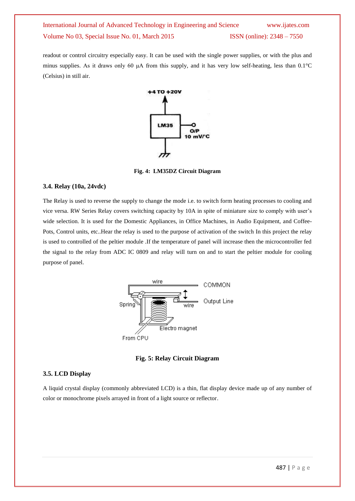readout or control circuitry especially easy. It can be used with the single power supplies, or with the plus and minus supplies. As it draws only 60 μA from this supply, and it has very low self-heating, less than 0.1°C (Celsius) in still air.



**Fig. 4: LM35DZ Circuit Diagram**

#### **3.4. Relay (10a, 24vdc)**

The Relay is used to reverse the supply to change the mode i.e. to switch form heating processes to cooling and vice versa. RW Series Relay covers switching capacity by 10A in spite of miniature size to comply with user's wide selection. It is used for the Domestic Appliances, in Office Machines, in Audio Equipment, and Coffee-Pots, Control units, etc..Hear the relay is used to the purpose of activation of the switch In this project the relay is used to controlled of the peltier module .If the temperature of panel will increase then the microcontroller fed the signal to the relay from ADC IC 0809 and relay will turn on and to start the peltier module for cooling purpose of panel.



**Fig. 5: Relay Circuit Diagram**

#### **3.5. LCD Display**

A liquid crystal display (commonly abbreviated LCD) is a thin, flat display device made up of any number of color or monochrome pixels arrayed in front of a light source or reflector.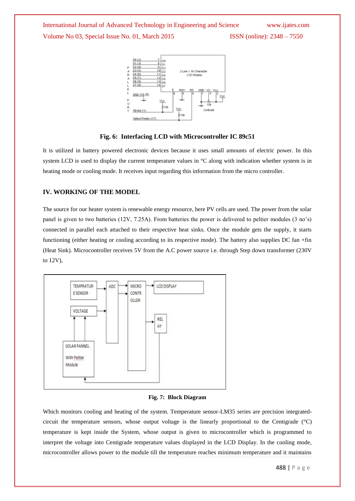

**Fig. 6: Interfacing LCD with Microcontroller IC 89c51**

It is utilized in battery powered electronic devices because it uses small amounts of electric power. In this system LCD is used to display the current temperature values in °C along with indication whether system is in heating mode or cooling mode. It receives input regarding this information from the micro controller.

#### **IV. WORKING OF THE MODEL**

The source for our heater system is renewable energy resource, here PV cells are used. The power from the solar panel is given to two batteries (12V, 7.25A). From batteries the power is delivered to peltier modules (3 no's) connected in parallel each attached to their respective heat sinks. Once the module gets the supply, it starts functioning (either heating or cooling according to its respective mode). The battery also supplies DC fan +fin (Heat Sink). Microcontroller receives 5V from the A.C power source i.e. through Step down transformer (230V to 12V),



#### **Fig. 7: Block Diagram**

Which monitors cooling and heating of the system. Temperature sensor-LM35 series are precision integratedcircuit the temperature sensors, whose output voltage is the linearly proportional to the Centigrade (°C) temperature is kept inside the System, whose output is given to microcontroller which is programmed to interpret the voltage into Centigrade temperature values displayed in the LCD Display. In the cooling mode, microcontroller allows power to the module till the temperature reaches minimum temperature and it maintains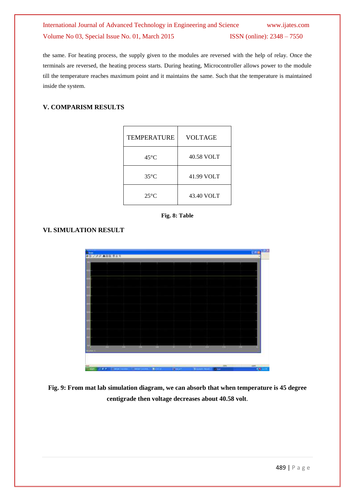the same. For heating process, the supply given to the modules are reversed with the help of relay. Once the terminals are reversed, the heating process starts. During heating, Microcontroller allows power to the module till the temperature reaches maximum point and it maintains the same. Such that the temperature is maintained inside the system.

#### **V. COMPARISM RESULTS**

| <b>TEMPERATURE</b> | <b>VOLTAGE</b> |
|--------------------|----------------|
| 45°C               | 40.58 VOLT     |
| $35^{\circ}$ C     | 41.99 VOLT     |
| $25^{\circ}$ C     | 43.40 VOLT     |



### **VI. SIMULATION RESULT**



**Fig. 9: From mat lab simulation diagram, we can absorb that when temperature is 45 degree centigrade then voltage decreases about 40.58 volt**.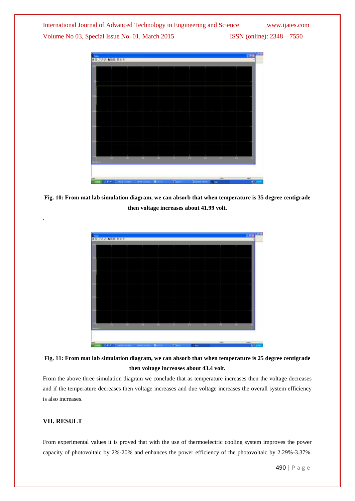



**Fig. 10: From mat lab simulation diagram, we can absorb that when temperature is 35 degree centigrade then voltage increases about 41.99 volt.**



### **Fig. 11: From mat lab simulation diagram, we can absorb that when temperature is 25 degree centigrade then voltage increases about 43.4 volt.**

From the above three simulation diagram we conclude that as temperature increases then the voltage decreases and if the temperature decreases then voltage increases and due voltage increases the overall system efficiency is also increases.

#### **VII. RESULT**

.

From experimental values it is proved that with the use of thermoelectric cooling system improves the power capacity of photovoltaic by 2%-20% and enhances the power efficiency of the photovoltaic by 2.29%-3.37%.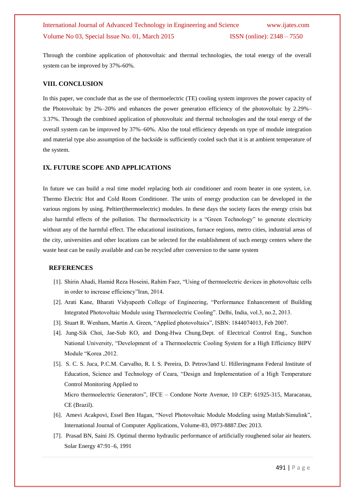Through the combine application of photovoltaic and thermal technologies, the total energy of the overall system can be improved by 37%-60%.

#### **VIII. CONCLUSION**

In this paper, we conclude that as the use of thermoelectric (TE) cooling system improves the power capacity of the Photovoltaic by 2%–20% and enhances the power generation efficiency of the photovoltaic by 2.29%– 3.37%. Through the combined application of photovoltaic and thermal technologies and the total energy of the overall system can be improved by 37%–60%. Also the total efficiency depends on type of module integration and material type also assumption of the backside is sufficiently cooled such that it is at ambient temperature of the system.

#### **IX. FUTURE SCOPE AND APPLICATIONS**

In future we can build a real time model replacing both air conditioner and room heater in one system, i.e. Thermo Electric Hot and Cold Room Conditioner. The units of energy production can be developed in the various regions by using. Peltier(thermoelectric) modules. In these days the society faces the energy crisis but also harmful effects of the pollution. The thermoelectricity is a "Green Technology" to generate electricity without any of the harmful effect. The educational institutions, furnace regions, metro cities, industrial areas of the city, universities and other locations can be selected for the establishment of such energy centers where the waste heat can be easily available and can be recycled after conversion to the same system

#### **REFERENCES**

- [1]. Shirin Ahadi, Hamid Reza Hoseini, Rahim Faez, "Using of thermoelectric devices in photovoltaic cells in order to increase efficiency"Iran, 2014.
- [2]. Arati Kane, Bharati Vidyapeeth College of Engineering, "Performance Enhancement of Building Integrated Photovoltaic Module using Thermoelectric Cooling". Delhi, India, vol.3, no.2, 2013.
- [3]. Stuart R. Wenham, Martin A. Green, "Applied photovoltaics", ISBN: 1844074013, Feb 2007.
- [4]. Jung-Sik Choi, Jae-Sub KO, and Dong-Hwa Chung.Dept. of Electrical Control Eng., Sunchon National University, "Development of a Thermoelectric Cooling System for a High Efficiency BIPV Module "Korea ,2012.
- [5]. S. C. S. Juca, P.C.M. Carvalho, R. I. S. Pereira, D. Petrov3and U. Hilleringmann Federal Institute of Education, Science and Technology of Ceara, "Design and Implementation of a High Temperature Control Monitoring Applied to

Micro thermoelectric Generators", IFCE – Condone Norte Avenue, 10 CEP: 61925-315, Maracanau, CE (Brazil).

- [6]. Amevi Acakpovi, Essel Ben Hagan, "Novel Photovoltaic Module Modeling using Matlab/Simulink", International Journal of Computer Applications, Volume-83, 0973-8887.Dec 2013.
- [7]. Prasad BN, Saini JS. Optimal thermo hydraulic performance of artificially roughened solar air heaters. Solar Energy 47:91–6, 1991